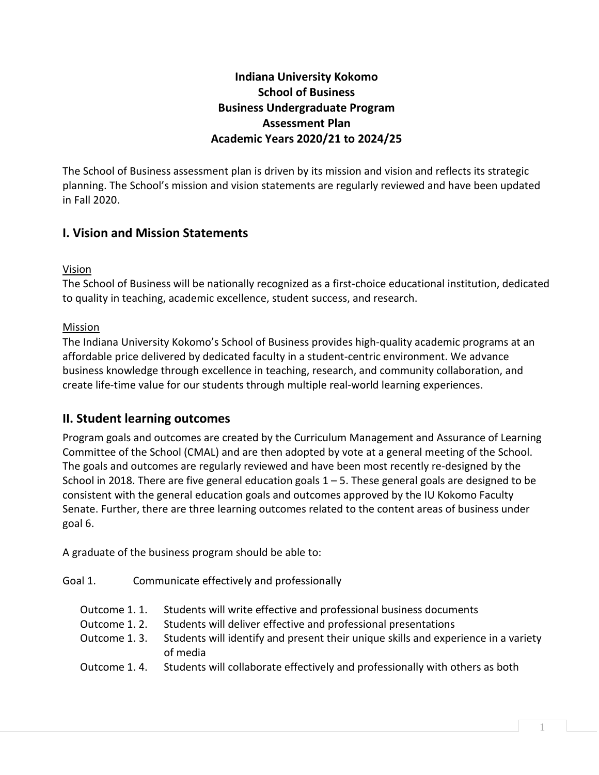## **Indiana University Kokomo School of Business Business Undergraduate Program Assessment Plan Academic Years 2020/21 to 2024/25**

The School of Business assessment plan is driven by its mission and vision and reflects its strategic planning. The School's mission and vision statements are regularly reviewed and have been updated in Fall 2020.

# **I. Vision and Mission Statements**

#### Vision

The School of Business will be nationally recognized as a first-choice educational institution, dedicated to quality in teaching, academic excellence, student success, and research.

#### Mission

The Indiana University Kokomo's School of Business provides high-quality academic programs at an affordable price delivered by dedicated faculty in a student-centric environment. We advance business knowledge through excellence in teaching, research, and community collaboration, and create life-time value for our students through multiple real-world learning experiences.

### **II. Student learning outcomes**

Program goals and outcomes are created by the Curriculum Management and Assurance of Learning Committee of the School (CMAL) and are then adopted by vote at a general meeting of the School. The goals and outcomes are regularly reviewed and have been most recently re-designed by the School in 2018. There are five general education goals  $1 - 5$ . These general goals are designed to be consistent with the general education goals and outcomes approved by the IU Kokomo Faculty Senate. Further, there are three learning outcomes related to the content areas of business under goal 6.

A graduate of the business program should be able to:

- Goal 1. Communicate effectively and professionally
	- Outcome 1. 1. Students will write effective and professional business documents
	- Outcome 1. 2. Students will deliver effective and professional presentations
	- Outcome 1. 3. Students will identify and present their unique skills and experience in a variety of media
	- Outcome 1. 4. Students will collaborate effectively and professionally with others as both